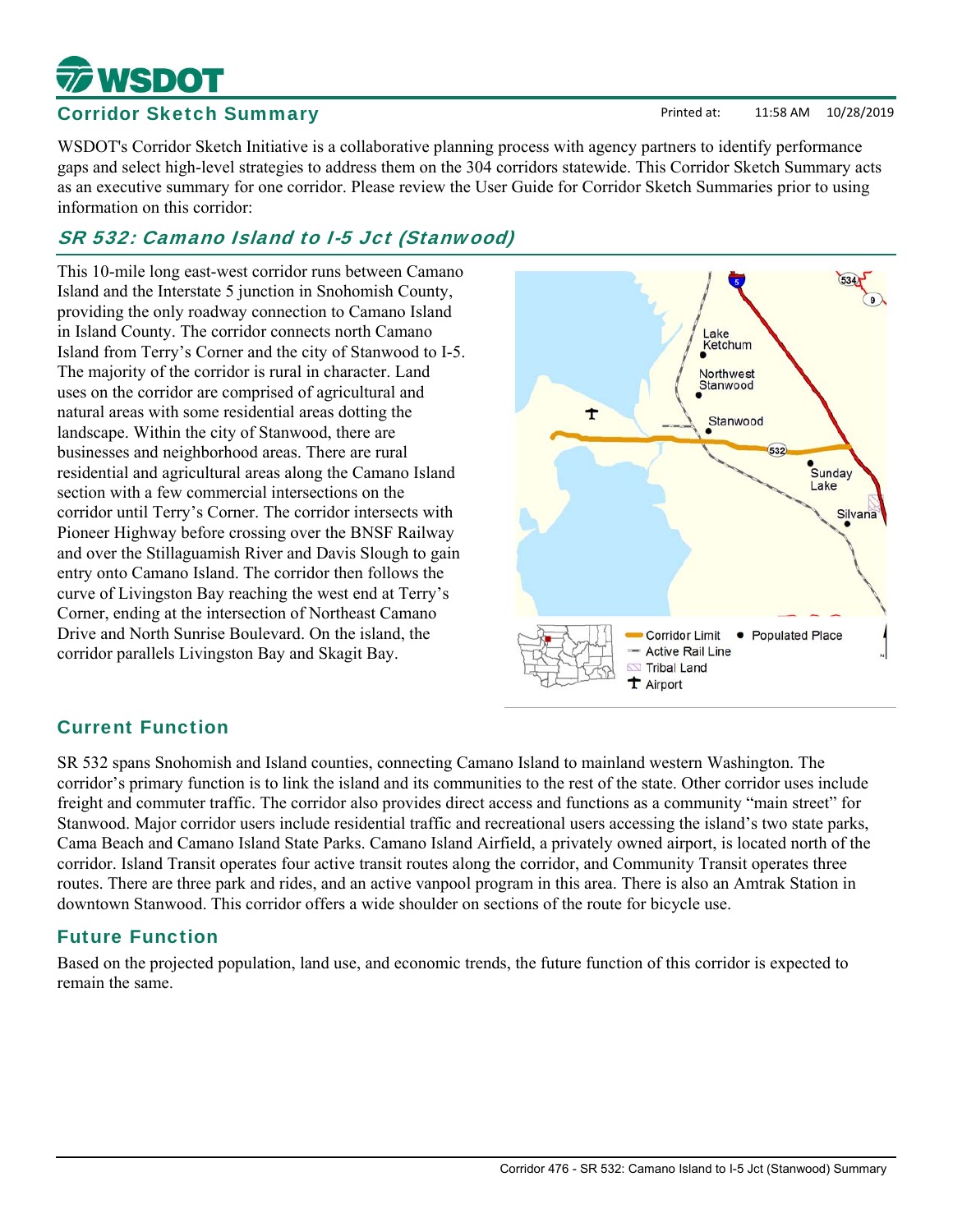### Corridor 476 - SR 532: Camano Island to I-5 Jct (Stanwood) Summary

Printed at: 11:58 AM 10/28/2019

# Corridor Sketch Summary

**SDOT** 

WSDOT's Corridor Sketch Initiative is a collaborative planning process with agency partners to identify performance gaps and select high-level strategies to address them on the 304 corridors statewide. This Corridor Sketch Summary acts as an executive summary for one corridor. Please review the User Guide for Corridor Sketch Summaries prior to using information on this corridor:

# SR 532: Camano Island to I-5 Jct (Stanwood)

This 10-mile long east-west corridor runs between Camano Island and the Interstate 5 junction in Snohomish County, providing the only roadway connection to Camano Island in Island County. The corridor connects north Camano Island from Terry's Corner and the city of Stanwood to I-5. The majority of the corridor is rural in character. Land uses on the corridor are comprised of agricultural and natural areas with some residential areas dotting the landscape. Within the city of Stanwood, there are businesses and neighborhood areas. There are rural residential and agricultural areas along the Camano Island section with a few commercial intersections on the corridor until Terry's Corner. The corridor intersects with Pioneer Highway before crossing over the BNSF Railway and over the Stillaguamish River and Davis Slough to gain entry onto Camano Island. The corridor then follows the curve of Livingston Bay reaching the west end at Terry's Corner, ending at the intersection of Northeast Camano Drive and North Sunrise Boulevard. On the island, the corridor parallels Livingston Bay and Skagit Bay.



# Current Function

SR 532 spans Snohomish and Island counties, connecting Camano Island to mainland western Washington. The corridor's primary function is to link the island and its communities to the rest of the state. Other corridor uses include freight and commuter traffic. The corridor also provides direct access and functions as a community "main street" for Stanwood. Major corridor users include residential traffic and recreational users accessing the island's two state parks, Cama Beach and Camano Island State Parks. Camano Island Airfield, a privately owned airport, is located north of the corridor. Island Transit operates four active transit routes along the corridor, and Community Transit operates three routes. There are three park and rides, and an active vanpool program in this area. There is also an Amtrak Station in downtown Stanwood. This corridor offers a wide shoulder on sections of the route for bicycle use.

# Future Function

Based on the projected population, land use, and economic trends, the future function of this corridor is expected to remain the same.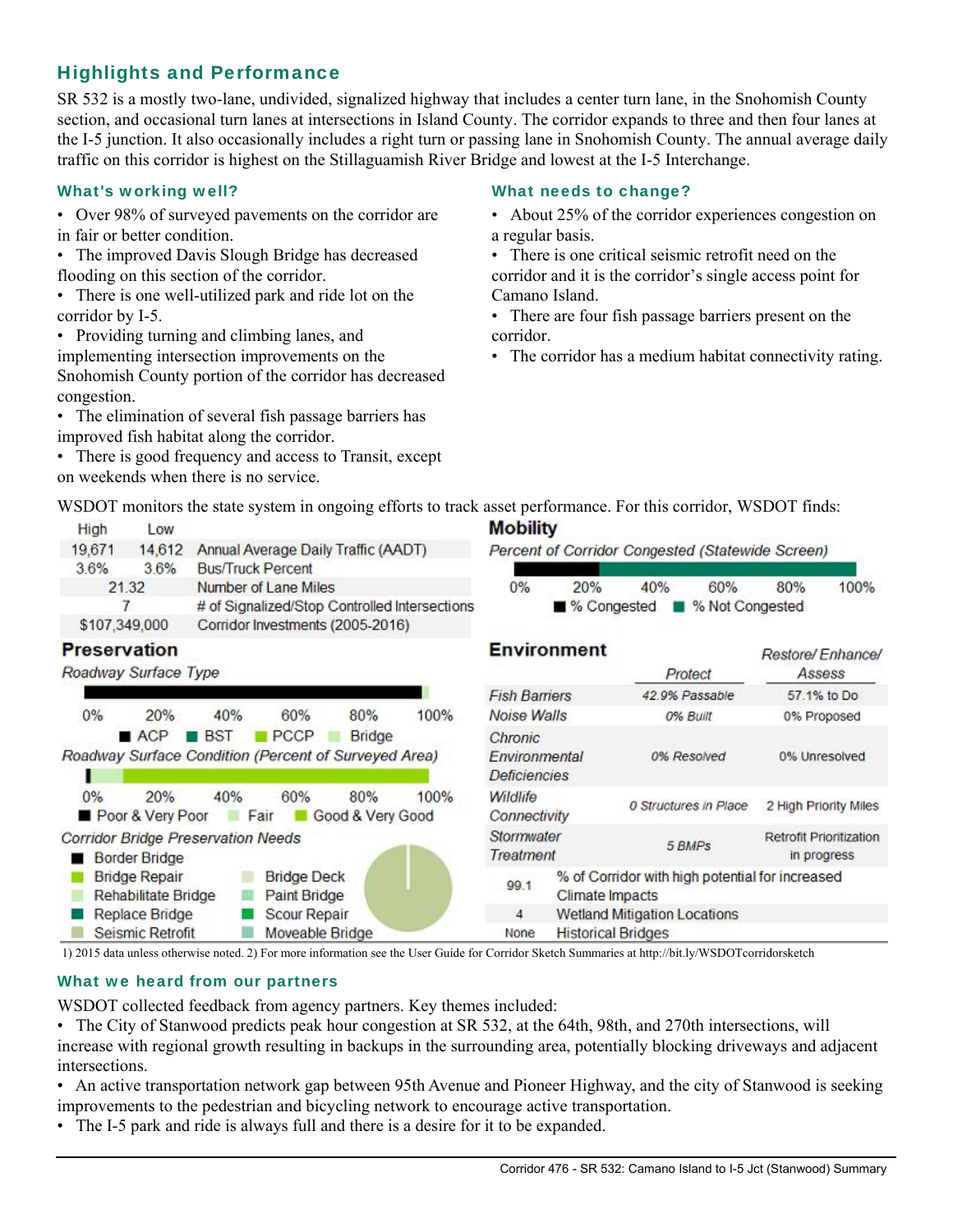# Highlights and Performance

SR 532 is a mostly two-lane, undivided, signalized highway that includes a center turn lane, in the Snohomish County section, and occasional turn lanes at intersections in Island County. The corridor expands to three and then four lanes at the I-5 junction. It also occasionally includes a right turn or passing lane in Snohomish County. The annual average daily traffic on this corridor is highest on the Stillaguamish River Bridge and lowest at the I-5 Interchange.

• Over 98% of surveyed pavements on the corridor are in fair or better condition.

• The improved Davis Slough Bridge has decreased flooding on this section of the corridor.

• There is one well-utilized park and ride lot on the corridor by I-5.

• Providing turning and climbing lanes, and implementing intersection improvements on the Snohomish County portion of the corridor has decreased congestion.

• The elimination of several fish passage barriers has improved fish habitat along the corridor.

• There is good frequency and access to Transit, except on weekends when there is no service.

### What's working well? The Controller what needs to change?

- About 25% of the corridor experiences congestion on a regular basis.
- There is one critical seismic retrofit need on the corridor and it is the corridor's single access point for Camano Island.
- There are four fish passage barriers present on the corridor.
- The corridor has a medium habitat connectivity rating.

| WSDOT monitors the state system in ongoing efforts to track asset performance. For this corridor, WSDOT finds: |  |  |  |
|----------------------------------------------------------------------------------------------------------------|--|--|--|
|                                                                                                                |  |  |  |

| High          | <b>Low</b> |                                               |  |
|---------------|------------|-----------------------------------------------|--|
| 19,671        |            | 14,612 Annual Average Daily Traffic (AADT)    |  |
| 3.6%          | 36%        | <b>Bus/Truck Percent</b>                      |  |
|               | 21.32      | Number of Lane Miles                          |  |
|               |            | # of Signalized/Stop Controlled Intersections |  |
| \$107,349,000 |            | Corridor Investments (2005-2016)              |  |
|               |            |                                               |  |

### **Preservation**

Roadway Surface Type



# **Mobility**

Percent of Corridor Congested (Statewide Screen)

| 0% | 20%                             | 40% | 60% | 80% | 100% |
|----|---------------------------------|-----|-----|-----|------|
|    | ■ % Congested ■ % Not Congested |     |     |     |      |

| <b>Environment</b>                                            |                                                                           | Protect                   | Restore/Enhance/<br>Assess             |  |
|---------------------------------------------------------------|---------------------------------------------------------------------------|---------------------------|----------------------------------------|--|
| <b>Fish Barriers</b>                                          |                                                                           | 42.9% Passable            | 57.1% to Do                            |  |
| Noise Walls                                                   |                                                                           | 0% Built                  | 0% Proposed                            |  |
| Chronic<br><b><i><u>Fnvironmental</u></i></b><br>Deficiencies |                                                                           | 0% Resolved               | 0% Unresolved                          |  |
| Wildlife<br>Connectivity                                      |                                                                           | 0 Structures in Place     | 2 High Priority Miles                  |  |
| Stormwater<br>Treatment                                       |                                                                           | 5 BMPs                    | Retrofit Prioritization<br>in progress |  |
| 99.1                                                          | % of Corridor with high potential for increased<br><b>Climate Impacts</b> |                           |                                        |  |
| $\overline{4}$                                                | <b>Wetland Mitigation Locations</b>                                       |                           |                                        |  |
| None                                                          |                                                                           | <b>Historical Bridges</b> |                                        |  |

1) 2015 data unless otherwise noted. 2) For more information see the User Guide for Corridor Sketch Summaries at http://bit.ly/WSDOTcorridorsketch

### What we heard from our partners

WSDOT collected feedback from agency partners. Key themes included:

- The City of Stanwood predicts peak hour congestion at SR 532, at the 64th, 98th, and 270th intersections, will increase with regional growth resulting in backups in the surrounding area, potentially blocking driveways and adjacent intersections.
- An active transportation network gap between 95th Avenue and Pioneer Highway, and the city of Stanwood is seeking improvements to the pedestrian and bicycling network to encourage active transportation.
- The I-5 park and ride is always full and there is a desire for it to be expanded.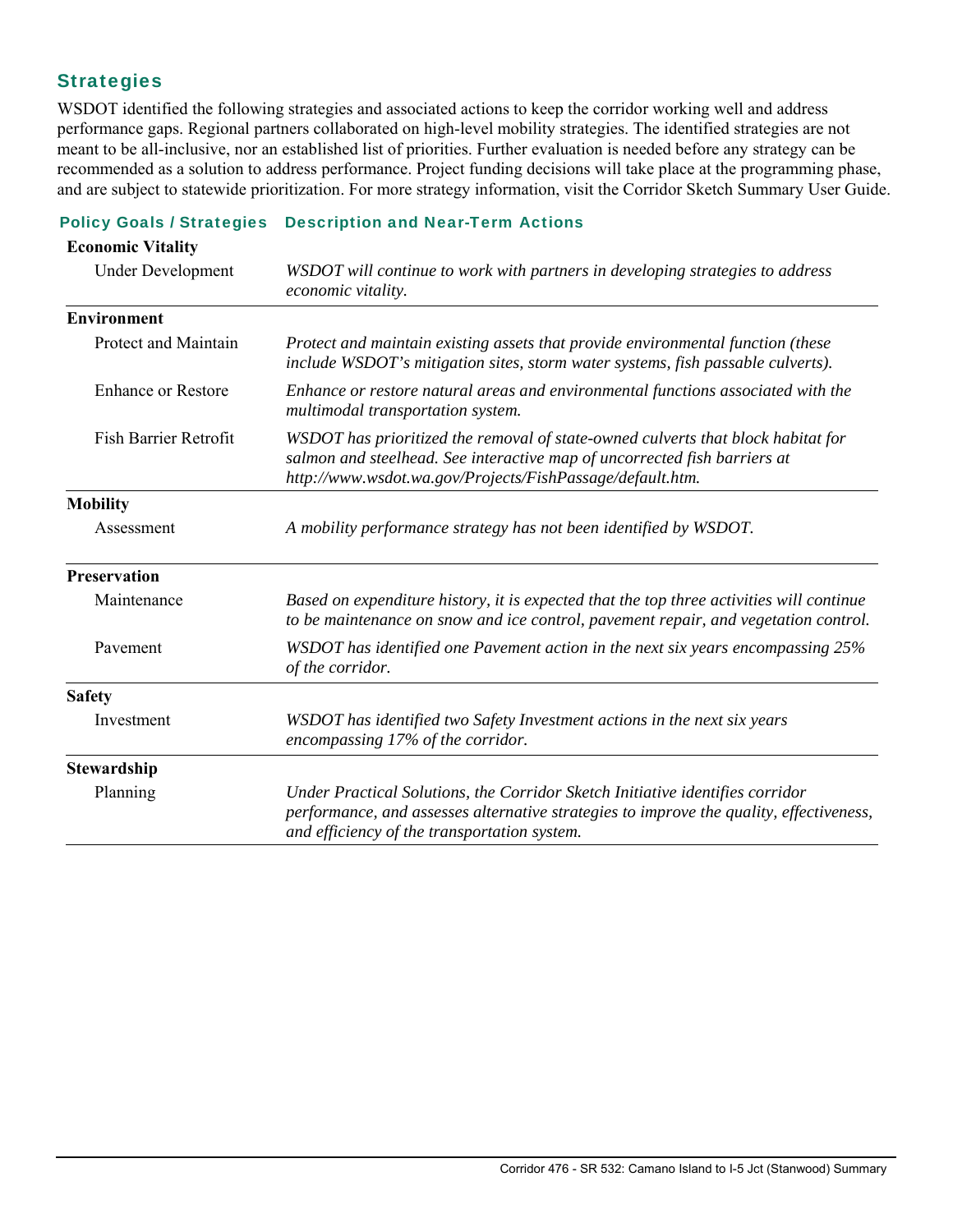# **Strategies**

**Economic Vitality**

WSDOT identified the following strategies and associated actions to keep the corridor working well and address performance gaps. Regional partners collaborated on high-level mobility strategies. The identified strategies are not meant to be all-inclusive, nor an established list of priorities. Further evaluation is needed before any strategy can be recommended as a solution to address performance. Project funding decisions will take place at the programming phase, and are subject to statewide prioritization. For more strategy information, visit the Corridor Sketch Summary User Guide.

### Policy Goals / Strategies Description and Near-Term Actions

| <b>Economic Vitality</b>     |                                                                                                                                                                                                                            |
|------------------------------|----------------------------------------------------------------------------------------------------------------------------------------------------------------------------------------------------------------------------|
| Under Development            | WSDOT will continue to work with partners in developing strategies to address<br>economic vitality.                                                                                                                        |
| <b>Environment</b>           |                                                                                                                                                                                                                            |
| Protect and Maintain         | Protect and maintain existing assets that provide environmental function (these<br>include WSDOT's mitigation sites, storm water systems, fish passable culverts).                                                         |
| <b>Enhance or Restore</b>    | Enhance or restore natural areas and environmental functions associated with the<br>multimodal transportation system.                                                                                                      |
| <b>Fish Barrier Retrofit</b> | WSDOT has prioritized the removal of state-owned culverts that block habitat for<br>salmon and steelhead. See interactive map of uncorrected fish barriers at<br>http://www.wsdot.wa.gov/Projects/FishPassage/default.htm. |
| <b>Mobility</b>              |                                                                                                                                                                                                                            |
| Assessment                   | A mobility performance strategy has not been identified by WSDOT.                                                                                                                                                          |
| <b>Preservation</b>          |                                                                                                                                                                                                                            |
| Maintenance                  | Based on expenditure history, it is expected that the top three activities will continue<br>to be maintenance on snow and ice control, pavement repair, and vegetation control.                                            |
| Pavement                     | WSDOT has identified one Pavement action in the next six years encompassing 25%<br>of the corridor.                                                                                                                        |
| <b>Safety</b>                |                                                                                                                                                                                                                            |
| Investment                   | WSDOT has identified two Safety Investment actions in the next six years<br>encompassing 17% of the corridor.                                                                                                              |
| Stewardship                  |                                                                                                                                                                                                                            |
| Planning                     | Under Practical Solutions, the Corridor Sketch Initiative identifies corridor<br>performance, and assesses alternative strategies to improve the quality, effectiveness,<br>and efficiency of the transportation system.   |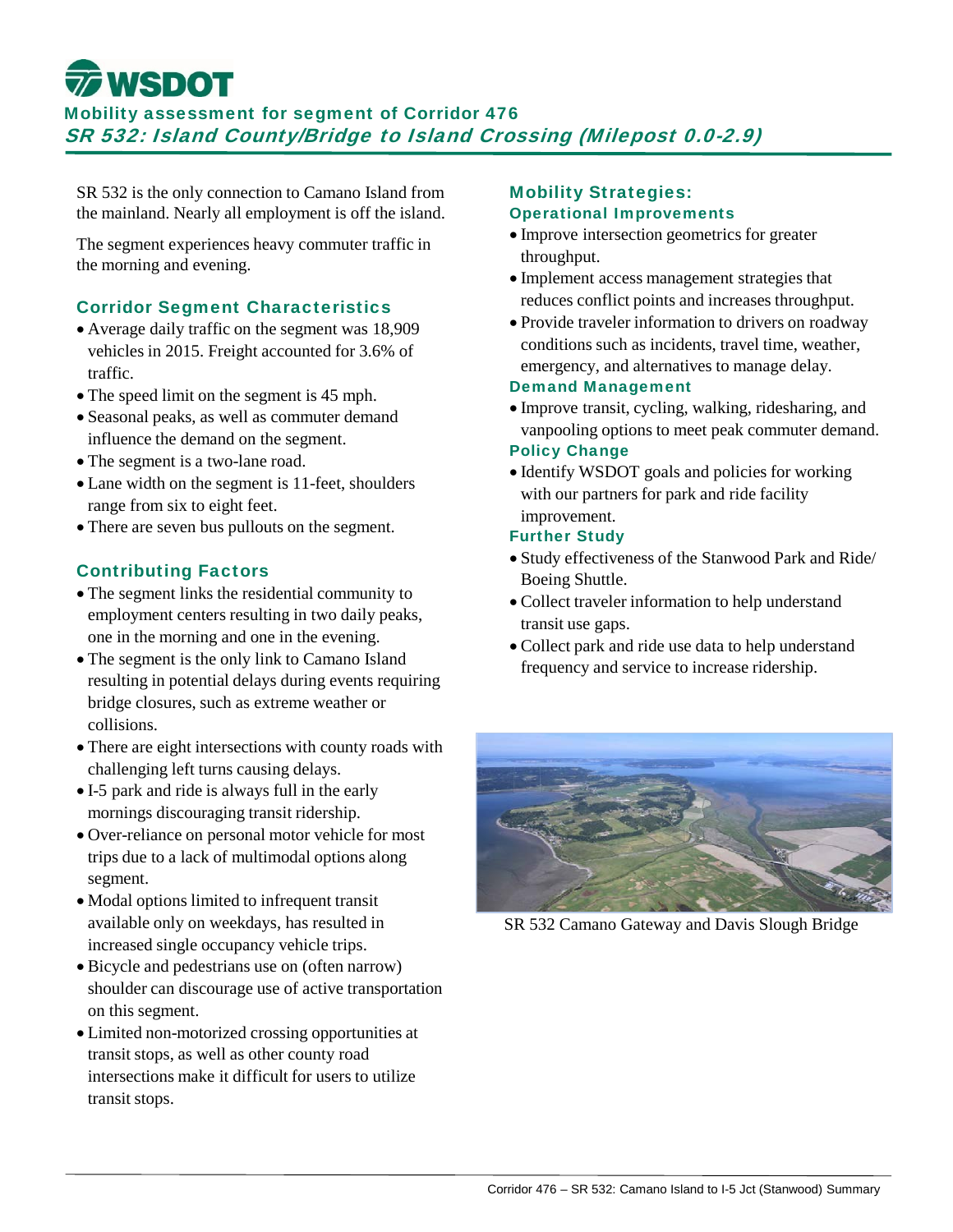# **WSDOT**

Mobility assessment for segment of Corridor 476 SR 532: Island County/Bridge to Island Crossing (Milepost 0.0-2.9)

SR 532 is the only connection to Camano Island from the mainland. Nearly all employment is off the island.

The segment experiences heavy commuter traffic in the morning and evening.

### Corridor Segment Characteristics

- Average daily traffic on the segment was 18,909 vehicles in 2015. Freight accounted for 3.6% of traffic.
- The speed limit on the segment is 45 mph.
- Seasonal peaks, as well as commuter demand influence the demand on the segment.
- The segment is a two-lane road.
- Lane width on the segment is 11-feet, shoulders range from six to eight feet.
- There are seven bus pullouts on the segment.

## Contributing Factors

- The segment links the residential community to employment centers resulting in two daily peaks, one in the morning and one in the evening.
- The segment is the only link to Camano Island resulting in potential delays during events requiring bridge closures, such as extreme weather or collisions.
- There are eight intersections with county roads with challenging left turns causing delays.
- I-5 park and ride is always full in the early mornings discouraging transit ridership.
- Over-reliance on personal motor vehicle for most trips due to a lack of multimodal options along segment.
- Modal options limited to infrequent transit available only on weekdays, has resulted in increased single occupancy vehicle trips.
- Bicycle and pedestrians use on (often narrow) shoulder can discourage use of active transportation on this segment.
- Limited non-motorized crossing opportunities at transit stops, as well as other county road intersections make it difficult for users to utilize transit stops.

### Mobility Strategies: Operational Improvements

- Improve intersection geometrics for greater throughput.
- Implement access management strategies that reduces conflict points and increases throughput.
- Provide traveler information to drivers on roadway conditions such as incidents, travel time, weather, emergency, and alternatives to manage delay.

# Demand Management

- Improve transit, cycling, walking, ridesharing, and vanpooling options to meet peak commuter demand. Policy Change
- Identify WSDOT goals and policies for working with our partners for park and ride facility improvement.

### Further Study

- Study effectiveness of the Stanwood Park and Ride/ Boeing Shuttle.
- Collect traveler information to help understand transit use gaps.
- Collect park and ride use data to help understand frequency and service to increase ridership.



SR 532 Camano Gateway and Davis Slough Bridge